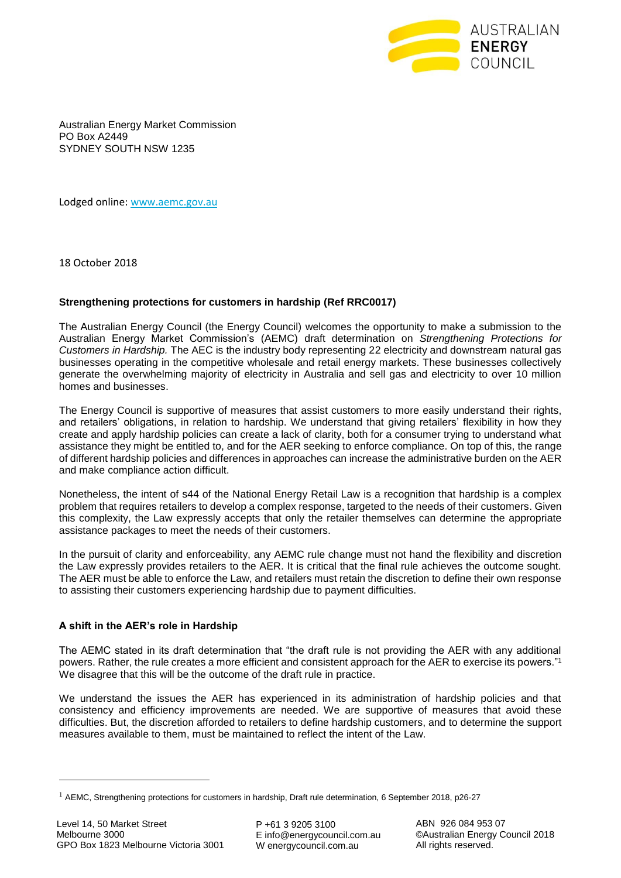

Australian Energy Market Commission PO Box A2449 SYDNEY SOUTH NSW 1235

Lodged online: [www.aemc.gov.au](http://www.aemc.gov.au/)

18 October 2018

## **Strengthening protections for customers in hardship (Ref RRC0017)**

The Australian Energy Council (the Energy Council) welcomes the opportunity to make a submission to the Australian Energy Market Commission's (AEMC) draft determination on *Strengthening Protections for Customers in Hardship.* The AEC is the industry body representing 22 electricity and downstream natural gas businesses operating in the competitive wholesale and retail energy markets. These businesses collectively generate the overwhelming majority of electricity in Australia and sell gas and electricity to over 10 million homes and businesses.

The Energy Council is supportive of measures that assist customers to more easily understand their rights, and retailers' obligations, in relation to hardship. We understand that giving retailers' flexibility in how they create and apply hardship policies can create a lack of clarity, both for a consumer trying to understand what assistance they might be entitled to, and for the AER seeking to enforce compliance. On top of this, the range of different hardship policies and differences in approaches can increase the administrative burden on the AER and make compliance action difficult.

Nonetheless, the intent of s44 of the National Energy Retail Law is a recognition that hardship is a complex problem that requires retailers to develop a complex response, targeted to the needs of their customers. Given this complexity, the Law expressly accepts that only the retailer themselves can determine the appropriate assistance packages to meet the needs of their customers.

In the pursuit of clarity and enforceability, any AEMC rule change must not hand the flexibility and discretion the Law expressly provides retailers to the AER. It is critical that the final rule achieves the outcome sought. The AER must be able to enforce the Law, and retailers must retain the discretion to define their own response to assisting their customers experiencing hardship due to payment difficulties.

## **A shift in the AER's role in Hardship**

The AEMC stated in its draft determination that "the draft rule is not providing the AER with any additional powers. Rather, the rule creates a more efficient and consistent approach for the AER to exercise its powers."<sup>1</sup> We disagree that this will be the outcome of the draft rule in practice.

We understand the issues the AER has experienced in its administration of hardship policies and that consistency and efficiency improvements are needed. We are supportive of measures that avoid these difficulties. But, the discretion afforded to retailers to define hardship customers, and to determine the support measures available to them, must be maintained to reflect the intent of the Law.

1

 $1$  AEMC, Strengthening protections for customers in hardship, Draft rule determination, 6 September 2018, p26-27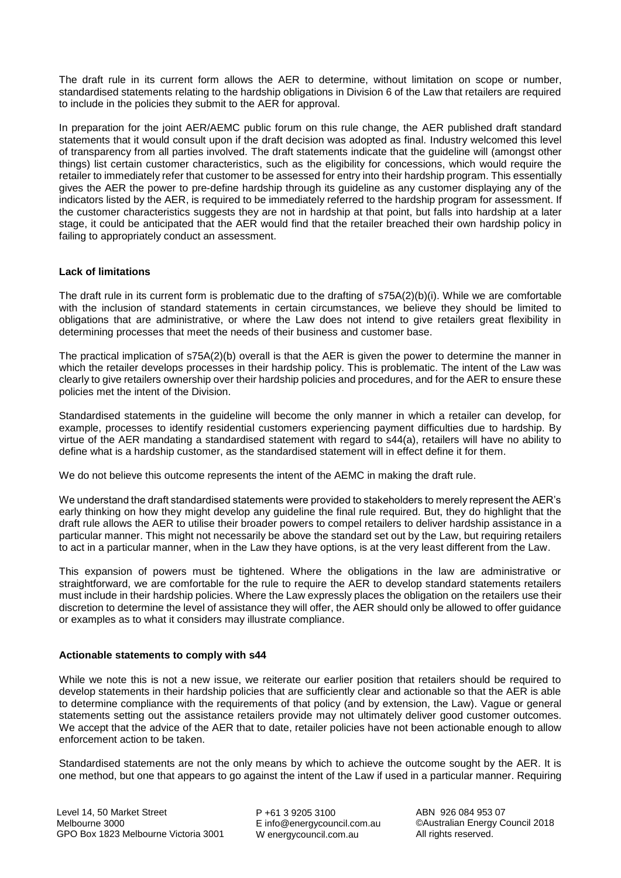The draft rule in its current form allows the AER to determine, without limitation on scope or number, standardised statements relating to the hardship obligations in Division 6 of the Law that retailers are required to include in the policies they submit to the AER for approval.

In preparation for the joint AER/AEMC public forum on this rule change, the AER published draft standard statements that it would consult upon if the draft decision was adopted as final. Industry welcomed this level of transparency from all parties involved. The draft statements indicate that the guideline will (amongst other things) list certain customer characteristics, such as the eligibility for concessions, which would require the retailer to immediately refer that customer to be assessed for entry into their hardship program. This essentially gives the AER the power to pre-define hardship through its guideline as any customer displaying any of the indicators listed by the AER, is required to be immediately referred to the hardship program for assessment. If the customer characteristics suggests they are not in hardship at that point, but falls into hardship at a later stage, it could be anticipated that the AER would find that the retailer breached their own hardship policy in failing to appropriately conduct an assessment.

## **Lack of limitations**

The draft rule in its current form is problematic due to the drafting of s75A(2)(b)(i). While we are comfortable with the inclusion of standard statements in certain circumstances, we believe they should be limited to obligations that are administrative, or where the Law does not intend to give retailers great flexibility in determining processes that meet the needs of their business and customer base.

The practical implication of s75A(2)(b) overall is that the AER is given the power to determine the manner in which the retailer develops processes in their hardship policy. This is problematic. The intent of the Law was clearly to give retailers ownership over their hardship policies and procedures, and for the AER to ensure these policies met the intent of the Division.

Standardised statements in the guideline will become the only manner in which a retailer can develop, for example, processes to identify residential customers experiencing payment difficulties due to hardship. By virtue of the AER mandating a standardised statement with regard to s44(a), retailers will have no ability to define what is a hardship customer, as the standardised statement will in effect define it for them.

We do not believe this outcome represents the intent of the AEMC in making the draft rule.

We understand the draft standardised statements were provided to stakeholders to merely represent the AER's early thinking on how they might develop any guideline the final rule required. But, they do highlight that the draft rule allows the AER to utilise their broader powers to compel retailers to deliver hardship assistance in a particular manner. This might not necessarily be above the standard set out by the Law, but requiring retailers to act in a particular manner, when in the Law they have options, is at the very least different from the Law.

This expansion of powers must be tightened. Where the obligations in the law are administrative or straightforward, we are comfortable for the rule to require the AER to develop standard statements retailers must include in their hardship policies. Where the Law expressly places the obligation on the retailers use their discretion to determine the level of assistance they will offer, the AER should only be allowed to offer guidance or examples as to what it considers may illustrate compliance.

## **Actionable statements to comply with s44**

While we note this is not a new issue, we reiterate our earlier position that retailers should be required to develop statements in their hardship policies that are sufficiently clear and actionable so that the AER is able to determine compliance with the requirements of that policy (and by extension, the Law). Vague or general statements setting out the assistance retailers provide may not ultimately deliver good customer outcomes. We accept that the advice of the AER that to date, retailer policies have not been actionable enough to allow enforcement action to be taken.

Standardised statements are not the only means by which to achieve the outcome sought by the AER. It is one method, but one that appears to go against the intent of the Law if used in a particular manner. Requiring

P +61 3 9205 3100 E info@energycouncil.com.au W energycouncil.com.au

ABN 926 084 953 07 ©Australian Energy Council 2018 All rights reserved.